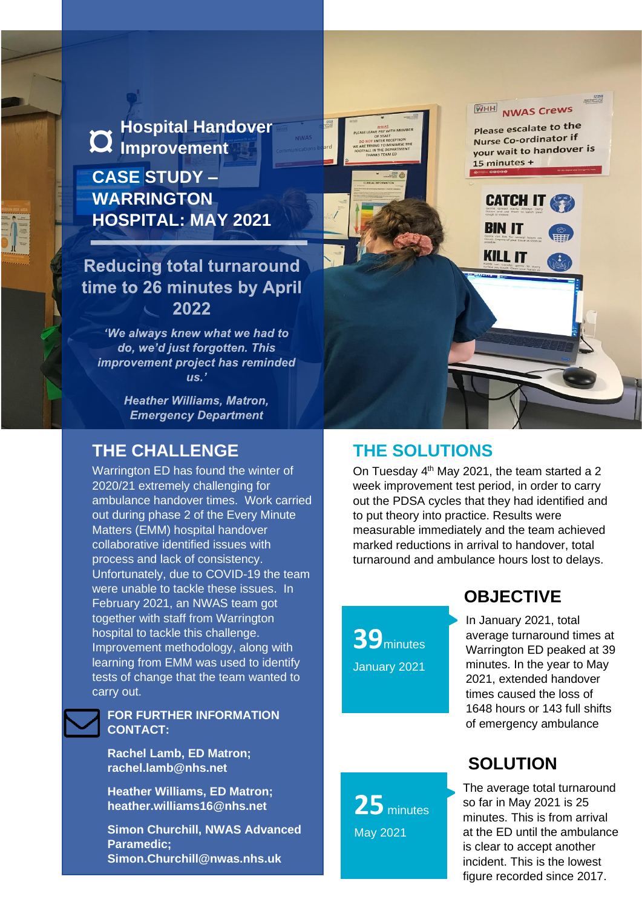**Hospital Handover**<br>**Q** Improvement

**CASE STUDY – WARRINGTON HOSPITAL: MAY 2021**

## **Reducing total turnaround** time to 26 minutes by April 2022

'We always knew what we had to do, we'd just forgotten. This improvement project has reminded  $\overline{u}$ s.

> **Heather Williams, Matron. Emergency Department**

#### **THE CHALLENGE**

Warrington ED has found the winter of 2020/21 extremely challenging for ambulance handover times. Work carried out during phase 2 of the Every Minute Matters (EMM) hospital handover collaborative identified issues with process and lack of consistency. Unfortunately, due to COVID-19 the team were unable to tackle these issues. In February 2021, an NWAS team got together with staff from Warrington hospital to tackle this challenge. Improvement methodology, along with learning from EMM was used to identify tests of change that the team wanted to carry out.

#### **FOR FURTHER INFORMATION CONTACT:**

**Rachel Lamb, ED Matron; rachel.lamb@nhs.net**

**Heather Williams, ED Matron; heather.williams16@nhs.net**

**Simon Churchill, NWAS Advanced Paramedic; Simon.Churchill@nwas.nhs.uk**

## **THE SOLUTIONS**

On Tuesday  $4<sup>th</sup>$  May 2021, the team started a 2 week improvement test period, in order to carry out the PDSA cycles that they had identified and to put theory into practice. Results were measurable immediately and the team achieved marked reductions in arrival to handover, total turnaround and ambulance hours lost to delays.

WHH

15 minutes +

**BIN IT** 

**KILL IT** 

**NWAS Crews** Please escalate to the Nurse Co-ordinator if your wait to handover is

**CATCH IT &** 

**39**minutes January 2021

#### **OBJECTIVE**

In January 2021, total average turnaround times at Warrington ED peaked at 39 minutes. In the year to May 2021, extended handover times caused the loss of 1648 hours or 143 full shifts of emergency ambulance

# **SOLUTION**

The average total turnaround so far in May 2021 is 25 minutes. This is from arrival at the ED until the ambulance is clear to accept another incident. This is the lowest figure recorded since 2017.

**25** minutes May 2021